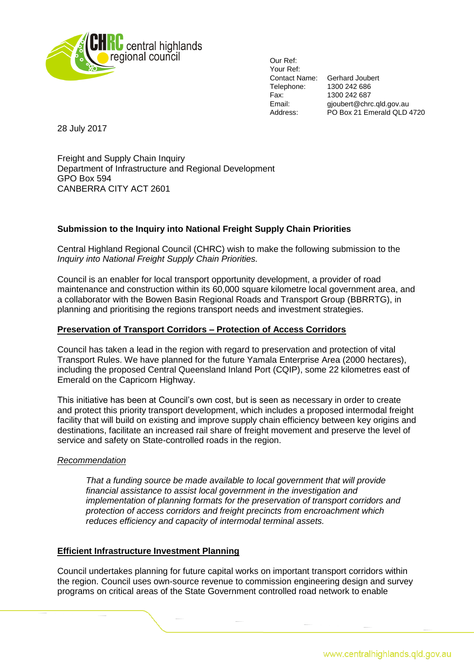

Our Ref: Your Ref: Telephone: 1300 242 686 Fax: 1300 242 687<br>Fmail: 1300 242 687

Contact Name: Gerhard Joubert gjoubert@chrc.qld.gov.au Address: PO Box 21 Emerald QLD 4720

28 July 2017

Freight and Supply Chain Inquiry Department of Infrastructure and Regional Development GPO Box 594 CANBERRA CITY ACT 2601

# **Submission to the Inquiry into National Freight Supply Chain Priorities**

Central Highland Regional Council (CHRC) wish to make the following submission to the *Inquiry into National Freight Supply Chain Priorities.*

Council is an enabler for local transport opportunity development, a provider of road maintenance and construction within its 60,000 square kilometre local government area, and a collaborator with the Bowen Basin Regional Roads and Transport Group (BBRRTG), in planning and prioritising the regions transport needs and investment strategies.

## **Preservation of Transport Corridors – Protection of Access Corridors**

Council has taken a lead in the region with regard to preservation and protection of vital Transport Rules. We have planned for the future Yamala Enterprise Area (2000 hectares), including the proposed Central Queensland Inland Port (CQIP), some 22 kilometres east of Emerald on the Capricorn Highway.

This initiative has been at Council's own cost, but is seen as necessary in order to create and protect this priority transport development, which includes a proposed intermodal freight facility that will build on existing and improve supply chain efficiency between key origins and destinations, facilitate an increased rail share of freight movement and preserve the level of service and safety on State-controlled roads in the region.

### *Recommendation*

*That a funding source be made available to local government that will provide financial assistance to assist local government in the investigation and implementation of planning formats for the preservation of transport corridors and protection of access corridors and freight precincts from encroachment which reduces efficiency and capacity of intermodal terminal assets.* 

### **Efficient Infrastructure Investment Planning**

Council undertakes planning for future capital works on important transport corridors within the region. Council uses own-source revenue to commission engineering design and survey programs on critical areas of the State Government controlled road network to enable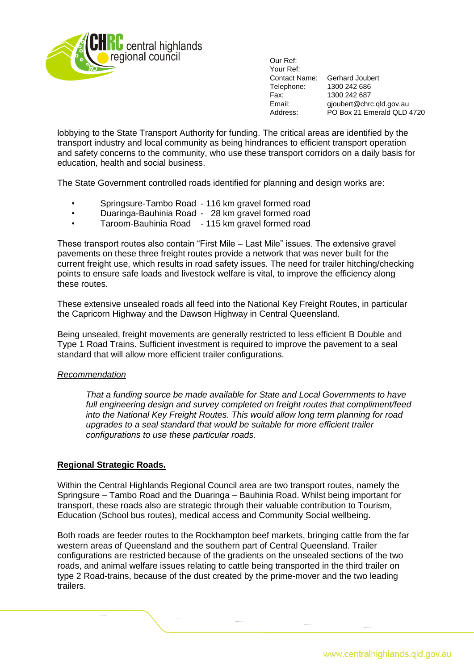

Our Ref: Your Ref: Contact Name: Gerhard Joubert Telephone: 1300 242 686 Fax: 1300 242 687<br>
Fmail: 0.01 pinupert@chro

gjoubert@chrc.qld.gov.au Address: PO Box 21 Emerald QLD 4720

lobbying to the State Transport Authority for funding. The critical areas are identified by the transport industry and local community as being hindrances to efficient transport operation and safety concerns to the community, who use these transport corridors on a daily basis for education, health and social business.

The State Government controlled roads identified for planning and design works are:

- Springsure-Tambo Road 116 km gravel formed road
- Duaringa-Bauhinia Road 28 km gravel formed road
- Taroom-Bauhinia Road 115 km gravel formed road

These transport routes also contain "First Mile – Last Mile" issues. The extensive gravel pavements on these three freight routes provide a network that was never built for the current freight use, which results in road safety issues. The need for trailer hitching/checking points to ensure safe loads and livestock welfare is vital, to improve the efficiency along these routes.

These extensive unsealed roads all feed into the National Key Freight Routes, in particular the Capricorn Highway and the Dawson Highway in Central Queensland.

Being unsealed, freight movements are generally restricted to less efficient B Double and Type 1 Road Trains. Sufficient investment is required to improve the pavement to a seal standard that will allow more efficient trailer configurations.

### *Recommendation*

*That a funding source be made available for State and Local Governments to have full engineering design and survey completed on freight routes that compliment/feed into the National Key Freight Routes. This would allow long term planning for road upgrades to a seal standard that would be suitable for more efficient trailer configurations to use these particular roads.* 

## **Regional Strategic Roads.**

Within the Central Highlands Regional Council area are two transport routes, namely the Springsure – Tambo Road and the Duaringa – Bauhinia Road. Whilst being important for transport, these roads also are strategic through their valuable contribution to Tourism, Education (School bus routes), medical access and Community Social wellbeing.

Both roads are feeder routes to the Rockhampton beef markets, bringing cattle from the far western areas of Queensland and the southern part of Central Queensland. Trailer configurations are restricted because of the gradients on the unsealed sections of the two roads, and animal welfare issues relating to cattle being transported in the third trailer on type 2 Road-trains, because of the dust created by the prime-mover and the two leading trailers.